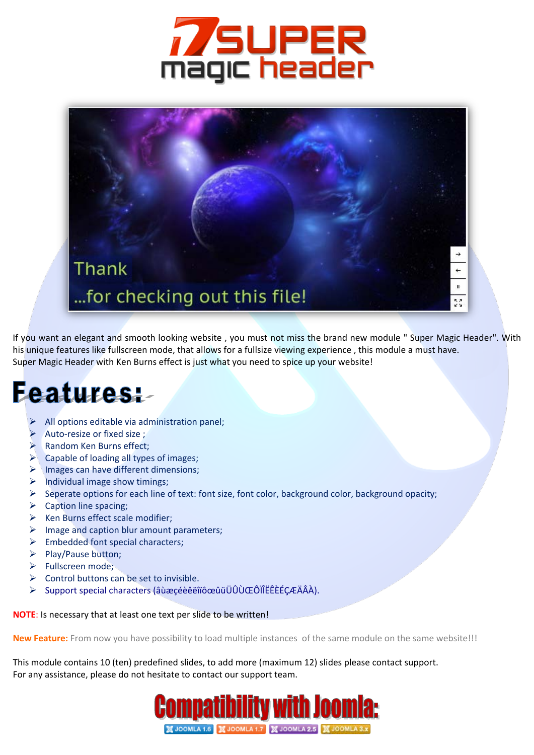



If you want an elegant and smooth looking website , you must not miss the brand new module " Super Magic Header". With his unique features like fullscreen mode, that allows for a fullsize viewing experience , this module a must have. Super Magic Header with Ken Burns effect is just what you need to spice up your website!

## **Features:**

- $\triangleright$  All options editable via administration panel;
- Auto-resize or fixed size ;
- **Random Ken Burns effect;**
- $\blacktriangleright$  Capable of loading all types of images;
- $\triangleright$  Images can have different dimensions;
- $\triangleright$  Individual image show timings;
- $\triangleright$  Seperate options for each line of text: font size, font color, background color, background opacity;
- $\triangleright$  Caption line spacing;
- $\triangleright$  Ken Burns effect scale modifier;
- $\triangleright$  Image and caption blur amount parameters;
- $\triangleright$  Embedded font special characters;
- Play/Pause button:
- $\triangleright$  Fullscreen mode:
- $\triangleright$  Control buttons can be set to invisible.
- Support special characters (âùæçéèêëîïôœûüÜÛÙŒÔÏÎËÊÈÉÇÆÄÂÀ).

**NOTE**: Is necessary that at least one text per slide to be written!

**New Feature:** From now you have possibility to load multiple instances of the same module on the same website!!!

This module contains 10 (ten) predefined slides, to add more (maximum 12) slides please contact support. For any assistance, please do not hesitate to contact our support team.

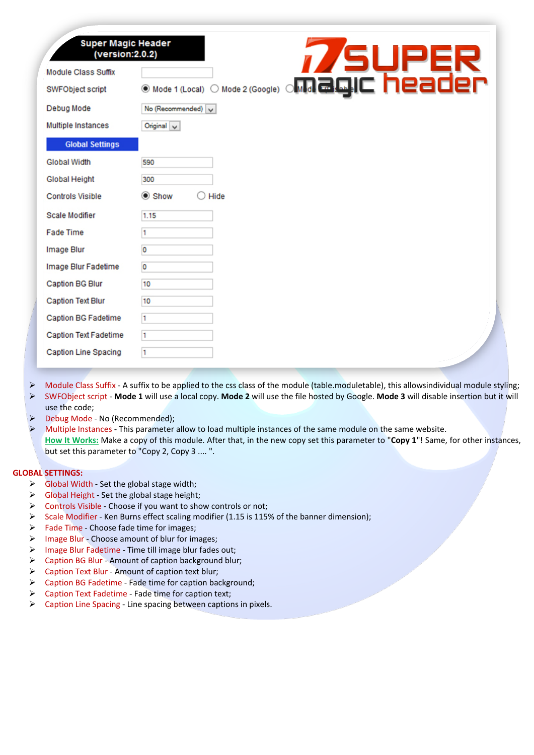| <b>Super Magic Header</b><br>(version:2.0.2) | <b>7/SUPER</b><br>Mode 2 (Google) <b>offlice Cycle in Predict</b> |
|----------------------------------------------|-------------------------------------------------------------------|
| <b>Module Class Suffix</b>                   |                                                                   |
| SWFObject script                             | Mode 1 (Local)                                                    |
| Debug Mode                                   | No (Recommended) v                                                |
| Multiple Instances                           | $O$ nginal $\vee$                                                 |
| <b>Global Settings</b>                       |                                                                   |
| <b>Global Width</b>                          | 590                                                               |
| <b>Global Height</b>                         | 300                                                               |
| <b>Controls Visible</b>                      | Show<br>Hide                                                      |
| Scale Modifier                               | 1.15                                                              |
| <b>Fade Time</b>                             | n                                                                 |
| Image Blur                                   | 0                                                                 |
| Image Blur Fadetime                          | O                                                                 |
| <b>Caption BG Blur</b>                       | 10                                                                |
| <b>Caption Text Blur</b>                     | 10                                                                |
| Caption BG Fadetime                          | 1                                                                 |
| <b>Caption Text Fadetime</b>                 | l1                                                                |
| Caption Line Spacing                         | 1                                                                 |

- Module Class Suffix A suffix to be applied to the css class of the module (table.moduletable), this allowsindividual module styling; SWFObject script - **Mode 1** will use a local copy. **Mode 2** will use the file hosted by Google. **Mode 3** will disable insertion but it will use the code;
- Debug Mode No (Recommended);
- Multiple Instances This parameter allow to load multiple instances of the same module on the same website. **How It Works:** Make a copy of this module. After that, in the new copy set this parameter to "**Copy 1**"! Same, for other instances, but set this parameter to "Copy 2, Copy 3 .... ".

## **GLOBAL SETTINGS:**

- $\triangleright$  Global Width Set the global stage width;
- $\triangleright$  Global Height Set the global stage height;
- $\triangleright$  Controls Visible Choose if you want to show controls or not;
- $\triangleright$  Scale Modifier Ken Burns effect scaling modifier (1.15 is 115% of the banner dimension);
- $\triangleright$  Fade Time Choose fade time for images;
- $\triangleright$  Image Blur Choose amount of blur for images;
- > Image Blur Fadetime Time till image blur fades out;
- $\triangleright$  Caption BG Blur Amount of caption background blur;
- $\triangleright$  Caption Text Blur Amount of caption text blur;
- Caption BG Fadetime Fade time for caption background;
- $\triangleright$  Caption Text Fadetime Fade time for caption text;
- $\triangleright$  Caption Line Spacing Line spacing between captions in pixels.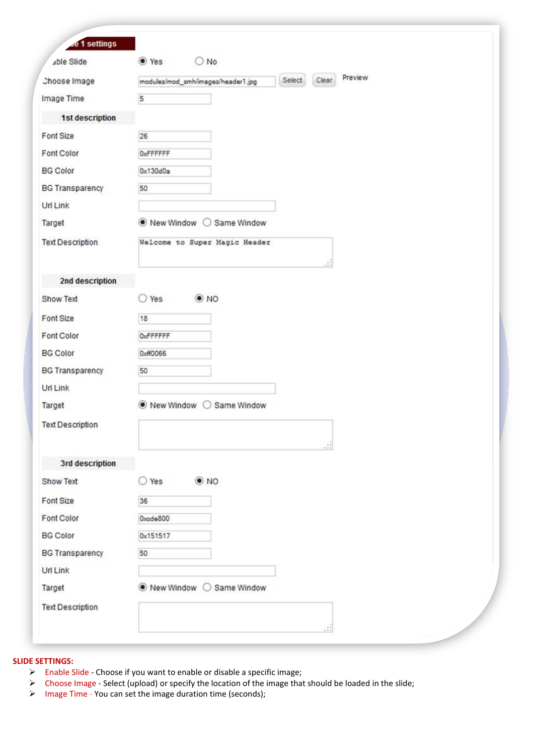| Preview<br>Clear<br>Select<br>Choose Image<br>modules/mod_smh/images/header1.jpg<br>Image Time<br>5<br>1st description<br>26<br><b>OxFFFFFF</b><br>0x130d0a<br>50<br>● New Window ○ Same Window<br>Welcome to Super Magic Header<br>2nd description<br>$\odot$ NO<br>$\bigcirc$ Yes<br>18<br><b>OxFFFFFF</b><br>0xff0066<br>50<br>● New Window<br>Same Window<br>$\left( \begin{array}{c} \end{array} \right)$<br>3rd description<br>$\odot$ NO<br>$\bigcirc$ Yes<br>36<br>Oxode800<br>0x151517<br>50<br>● New Window ○ Same Window | <b>de 1 settings</b><br>able Slide | ● Yes<br>$\bigcirc$ No |  |
|-------------------------------------------------------------------------------------------------------------------------------------------------------------------------------------------------------------------------------------------------------------------------------------------------------------------------------------------------------------------------------------------------------------------------------------------------------------------------------------------------------------------------------------|------------------------------------|------------------------|--|
|                                                                                                                                                                                                                                                                                                                                                                                                                                                                                                                                     |                                    |                        |  |
|                                                                                                                                                                                                                                                                                                                                                                                                                                                                                                                                     |                                    |                        |  |
| Font Size<br>Font Color<br><b>BG</b> Color<br><b>Url Link</b><br>Target<br><b>Text Description</b><br><b>Show Text</b><br>Font Size<br>Font Color<br><b>BG</b> Color<br><b>BG Transparency</b><br><b>Url Link</b><br>Target<br><b>Text Description</b><br><b>Show Text</b><br>Font Size<br><b>Font Color</b><br><b>BG Color</b><br><b>BG Transparency</b><br><b>Url Link</b><br>Target<br><b>Text Description</b>                                                                                                                   |                                    |                        |  |
|                                                                                                                                                                                                                                                                                                                                                                                                                                                                                                                                     |                                    |                        |  |
|                                                                                                                                                                                                                                                                                                                                                                                                                                                                                                                                     |                                    |                        |  |
|                                                                                                                                                                                                                                                                                                                                                                                                                                                                                                                                     |                                    |                        |  |
|                                                                                                                                                                                                                                                                                                                                                                                                                                                                                                                                     | <b>BG Transparency</b>             |                        |  |
|                                                                                                                                                                                                                                                                                                                                                                                                                                                                                                                                     |                                    |                        |  |
|                                                                                                                                                                                                                                                                                                                                                                                                                                                                                                                                     |                                    |                        |  |
|                                                                                                                                                                                                                                                                                                                                                                                                                                                                                                                                     |                                    |                        |  |
|                                                                                                                                                                                                                                                                                                                                                                                                                                                                                                                                     |                                    |                        |  |
|                                                                                                                                                                                                                                                                                                                                                                                                                                                                                                                                     |                                    |                        |  |
|                                                                                                                                                                                                                                                                                                                                                                                                                                                                                                                                     |                                    |                        |  |
|                                                                                                                                                                                                                                                                                                                                                                                                                                                                                                                                     |                                    |                        |  |
|                                                                                                                                                                                                                                                                                                                                                                                                                                                                                                                                     |                                    |                        |  |
|                                                                                                                                                                                                                                                                                                                                                                                                                                                                                                                                     |                                    |                        |  |
|                                                                                                                                                                                                                                                                                                                                                                                                                                                                                                                                     |                                    |                        |  |
|                                                                                                                                                                                                                                                                                                                                                                                                                                                                                                                                     |                                    |                        |  |
|                                                                                                                                                                                                                                                                                                                                                                                                                                                                                                                                     |                                    |                        |  |
|                                                                                                                                                                                                                                                                                                                                                                                                                                                                                                                                     |                                    |                        |  |
|                                                                                                                                                                                                                                                                                                                                                                                                                                                                                                                                     |                                    |                        |  |
|                                                                                                                                                                                                                                                                                                                                                                                                                                                                                                                                     |                                    |                        |  |
|                                                                                                                                                                                                                                                                                                                                                                                                                                                                                                                                     |                                    |                        |  |
|                                                                                                                                                                                                                                                                                                                                                                                                                                                                                                                                     |                                    |                        |  |
|                                                                                                                                                                                                                                                                                                                                                                                                                                                                                                                                     |                                    |                        |  |
|                                                                                                                                                                                                                                                                                                                                                                                                                                                                                                                                     |                                    |                        |  |
|                                                                                                                                                                                                                                                                                                                                                                                                                                                                                                                                     |                                    |                        |  |
|                                                                                                                                                                                                                                                                                                                                                                                                                                                                                                                                     |                                    |                        |  |
|                                                                                                                                                                                                                                                                                                                                                                                                                                                                                                                                     |                                    |                        |  |
|                                                                                                                                                                                                                                                                                                                                                                                                                                                                                                                                     |                                    |                        |  |

## **SLIDE SETTINGS:**

- Enable Slide Choose if you want to enable or disable a specific image;
- Choose Image Select (upload) or specify the location of the image that should be loaded in the slide;
- Image Time You can set the image duration time (seconds);